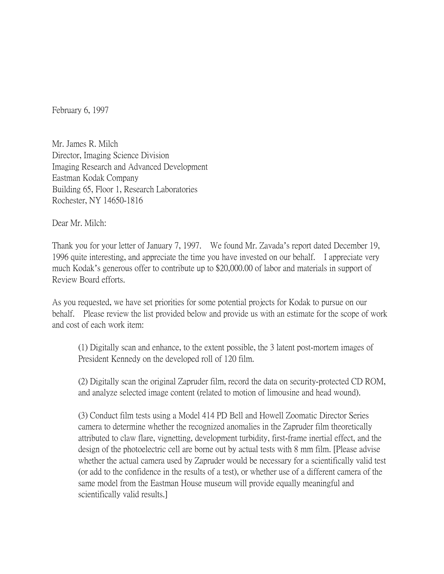February 6, 1997

Mr. James R. Milch Director, Imaging Science Division Imaging Research and Advanced Development Eastman Kodak Company Building 65, Floor 1, Research Laboratories Rochester, NY 14650-1816

Dear Mr. Milch:

Thank you for your letter of January 7, 1997. We found Mr. Zavada's report dated December 19, 1996 quite interesting, and appreciate the time you have invested on our behalf. I appreciate very much Kodak's generous offer to contribute up to \$20,000.00 of labor and materials in support of Review Board efforts.

As you requested, we have set priorities for some potential projects for Kodak to pursue on our behalf. Please review the list provided below and provide us with an estimate for the scope of work and cost of each work item:

(1) Digitally scan and enhance, to the extent possible, the 3 latent post-mortem images of President Kennedy on the developed roll of 120 film.

(2) Digitally scan the original Zapruder film, record the data on security-protected CD ROM, and analyze selected image content (related to motion of limousine and head wound).

(3) Conduct film tests using a Model 414 PD Bell and Howell Zoomatic Director Series camera to determine whether the recognized anomalies in the Zapruder film theoretically attributed to claw flare, vignetting, development turbidity, first-frame inertial effect, and the design of the photoelectric cell are borne out by actual tests with 8 mm film. [Please advise whether the actual camera used by Zapruder would be necessary for a scientifically valid test (or add to the confidence in the results of a test), or whether use of a different camera of the same model from the Eastman House museum will provide equally meaningful and scientifically valid results.]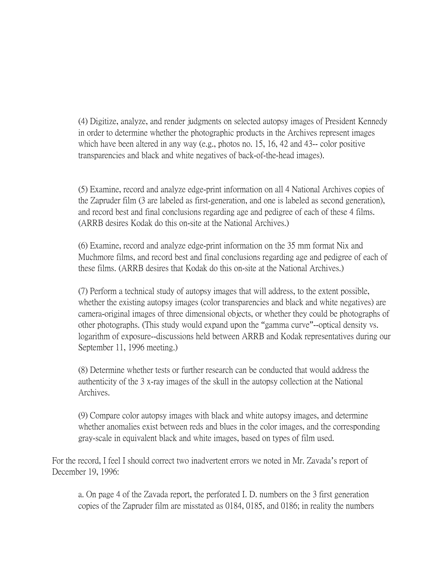(4) Digitize, analyze, and render judgments on selected autopsy images of President Kennedy in order to determine whether the photographic products in the Archives represent images which have been altered in any way (e.g., photos no. 15, 16, 42 and 43-- color positive transparencies and black and white negatives of back-of-the-head images).

(5) Examine, record and analyze edge-print information on all 4 National Archives copies of the Zapruder film (3 are labeled as first-generation, and one is labeled as second generation), and record best and final conclusions regarding age and pedigree of each of these 4 films. (ARRB desires Kodak do this on-site at the National Archives.)

(6) Examine, record and analyze edge-print information on the 35 mm format Nix and Muchmore films, and record best and final conclusions regarding age and pedigree of each of these films. (ARRB desires that Kodak do this on-site at the National Archives.)

(7) Perform a technical study of autopsy images that will address, to the extent possible, whether the existing autopsy images (color transparencies and black and white negatives) are camera-original images of three dimensional objects, or whether they could be photographs of other photographs. (This study would expand upon the "gamma curve"--optical density vs. logarithm of exposure--discussions held between ARRB and Kodak representatives during our September 11, 1996 meeting.)

(8) Determine whether tests or further research can be conducted that would address the authenticity of the 3 x-ray images of the skull in the autopsy collection at the National Archives.

(9) Compare color autopsy images with black and white autopsy images, and determine whether anomalies exist between reds and blues in the color images, and the corresponding gray-scale in equivalent black and white images, based on types of film used.

For the record, I feel I should correct two inadvertent errors we noted in Mr. Zavada's report of December 19, 1996:

a. On page 4 of the Zavada report, the perforated I. D. numbers on the 3 first generation copies of the Zapruder film are misstated as 0184, 0185, and 0186; in reality the numbers